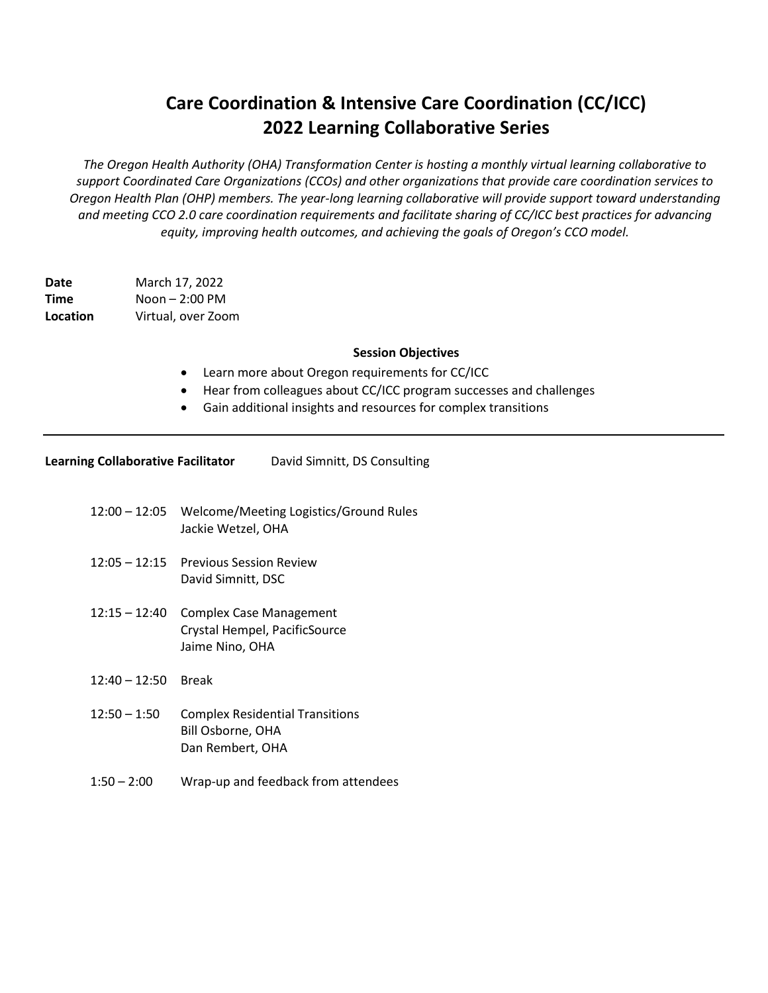## **Care Coordination & Intensive Care Coordination (CC/ICC) 2022 Learning Collaborative Series**

*The Oregon Health Authority (OHA) Transformation Center is hosting a monthly virtual learning collaborative to support Coordinated Care Organizations (CCOs) and other organizations that provide care coordination services to Oregon Health Plan (OHP) members. The year-long learning collaborative will provide support toward understanding and meeting CCO 2.0 care coordination requirements and facilitate sharing of CC/ICC best practices for advancing equity, improving health outcomes, and achieving the goals of Oregon's CCO model.*

**Date** March 17, 2022 **Time** Noon – 2:00 PM **Location** Virtual, over Zoom

## **Session Objectives**

- Learn more about Oregon requirements for CC/ICC
- Hear from colleagues about CC/ICC program successes and challenges
- Gain additional insights and resources for complex transitions

| <b>Learning Collaborative Facilitator</b> | David Simnitt, DS Consulting |
|-------------------------------------------|------------------------------|
|-------------------------------------------|------------------------------|

- 12:00 12:05 Welcome/Meeting Logistics/Ground Rules Jackie Wetzel, OHA
- 12:05 12:15 Previous Session Review David Simnitt, DSC
- 12:15 12:40 Complex Case Management Crystal Hempel, PacificSource Jaime Nino, OHA
- 12:40 12:50 Break
- 12:50 1:50 Complex Residential Transitions Bill Osborne, OHA Dan Rembert, OHA
- 1:50 2:00 Wrap-up and feedback from attendees